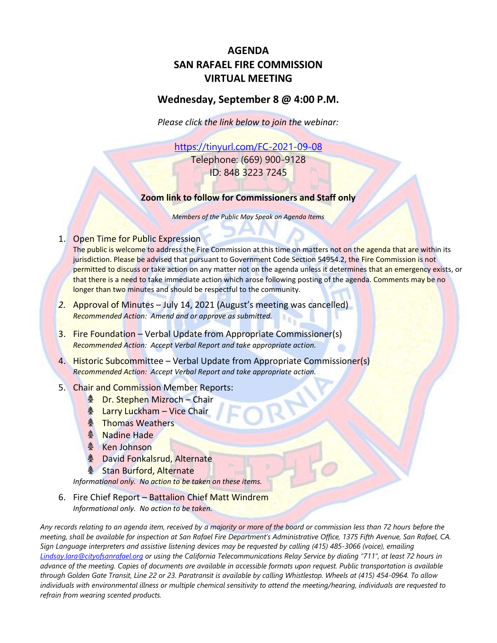# **AGENDA SAN RAFAEL FIRE COMMISSION VIRTUAL MEETING**

## **Wednesday, September 8 @ 4:00 P.M.**

*Please click the link below to join the webinar:*

<https://tinyurl.com/FC-2021-09-08> Telephone: (669) 900-9128 ID: 848 3223 7245

## **Zoom link to follow for Commissioners and Staff only**

*Members of the Public May Speak on Agenda Items*

## 1. Open Time for Public Expression

The public is welcome to address the Fire Commission at this time on matters not on the agenda that are within its jurisdiction. Please be advised that pursuant to Government Code Section 54954.2, the Fire Commission is not permitted to discuss or take action on any matter not on the agenda unless it determines that an emergency exists, or that there is a need to take immediate action which arose following posting of the agenda. Comments may be no longer than two minutes and should be respectful to the community.

- *2.* Approval of Minutes July 14, 2021 (August's meeting was cancelled) *Recommended Action: Amend and or approve as submitted.*
- 3. Fire Foundation Verbal Update from Appropriate Commissioner(s) *Recommended Action: Accept Verbal Report and take appropriate action.*
- 4. Historic Subcommittee Verbal Update from Appropriate Commissioner(s) *Recommended Action: Accept Verbal Report and take appropriate action.*
- 5. Chair and Commission Member Reports:
	- **A** Dr. Stephen Mizroch Chair
	- **A** Larry Luckham Vice Chair
	- **A** Thomas Weathers
	- **A** Nadine Hade
	- **A** Ken Johnson
	- **& David Fonkalsrud, Alternate**
	- **A** Stan Burford, Alternate

*Informational only. No action to be taken on these items.*

6. Fire Chief Report – Battalion Chief Matt Windrem *Informational only. No action to be taken.*

*Any records relating to an agenda item, received by a majority or more of the board or commission less than 72 hours before the meeting, shall be available for inspection at San Rafael Fire Department's Administrative Office, 1375 Fifth Avenue, San Rafael, CA. Sign Language interpreters and assistive listening devices may be requested by calling (415) 485-3066 (voice), emailing [Lindsay.lara@cityofsanrafael.org](mailto:Lindsay.lara@cityofsanrafael.org) or using the California Telecommunications Relay Service by dialing "711", at least 72 hours in advance of the meeting. Copies of documents are available in accessible formats upon request. Public transportation is available through Golden Gate Transit, Line 22 or 23. Paratransit is available by calling Whistlestop. Wheels at (415) 454-0964. To allow individuals with environmental illness or multiple chemical sensitivity to attend the meeting/hearing, individuals are requested to refrain from wearing scented products.*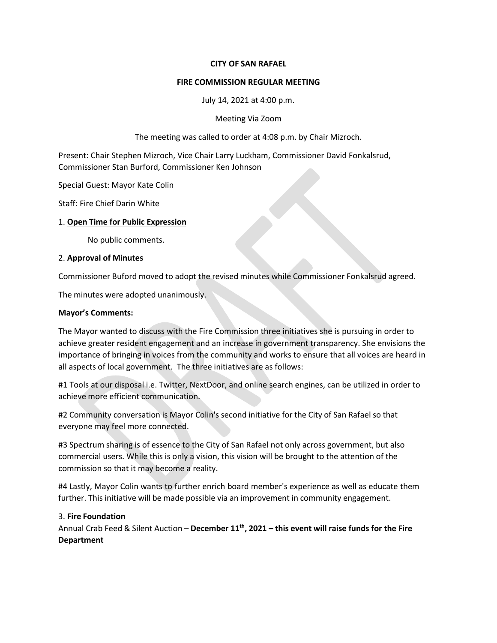#### **CITY OF SAN RAFAEL**

#### **FIRE COMMISSION REGULAR MEETING**

July 14, 2021 at 4:00 p.m.

Meeting Via Zoom

The meeting was called to order at 4:08 p.m. by Chair Mizroch.

Present: Chair Stephen Mizroch, Vice Chair Larry Luckham, Commissioner David Fonkalsrud, Commissioner Stan Burford, Commissioner Ken Johnson

Special Guest: Mayor Kate Colin

Staff: Fire Chief Darin White

#### 1. **Open Time for Public Expression**

No public comments.

#### 2. **Approval of Minutes**

Commissioner Buford moved to adopt the revised minutes while Commissioner Fonkalsrud agreed.

The minutes were adopted unanimously.

#### **Mayor's Comments:**

The Mayor wanted to discuss with the Fire Commission three initiatives she is pursuing in order to achieve greater resident engagement and an increase in government transparency. She envisions the importance of bringing in voices from the community and works to ensure that all voices are heard in all aspects of local government. The three initiatives are as follows:

#1 Tools at our disposal i.e. Twitter, NextDoor, and online search engines, can be utilized in order to achieve more efficient communication.

#2 Community conversation is Mayor Colin's second initiative for the City of San Rafael so that everyone may feel more connected.

#3 Spectrum sharing is of essence to the City of San Rafael not only across government, but also commercial users. While this is only a vision, this vision will be brought to the attention of the commission so that it may become a reality.

#4 Lastly, Mayor Colin wants to further enrich board member's experience as well as educate them further. This initiative will be made possible via an improvement in community engagement.

## 3. **Fire Foundation**

Annual Crab Feed & Silent Auction – **December 11th , 2021 – this event will raise funds for the Fire Department**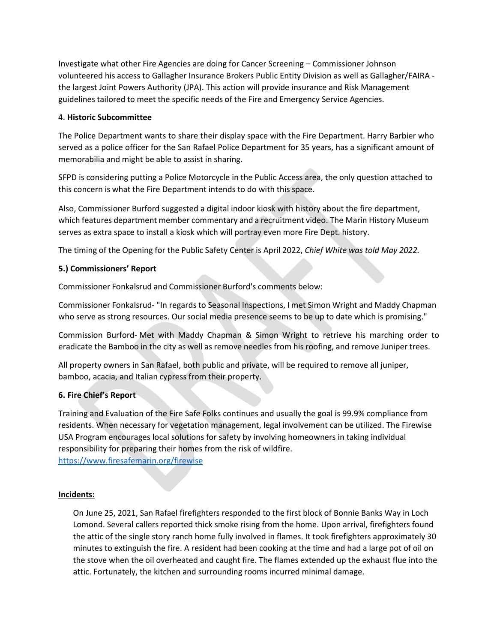Investigate what other Fire Agencies are doing for Cancer Screening – Commissioner Johnson volunteered his access to Gallagher Insurance Brokers Public Entity Division as well as Gallagher/FAIRA the largest Joint Powers Authority (JPA). This action will provide insurance and Risk Management guidelines tailored to meet the specific needs of the Fire and Emergency Service Agencies.

#### 4. **Historic Subcommittee**

The Police Department wants to share their display space with the Fire Department. Harry Barbier who served as a police officer for the San Rafael Police Department for 35 years, has a significant amount of memorabilia and might be able to assist in sharing.

SFPD is considering putting a Police Motorcycle in the Public Access area, the only question attached to this concern is what the Fire Department intends to do with this space.

Also, Commissioner Burford suggested a digital indoor kiosk with history about the fire department, which features department member commentary and a recruitment video. The Marin History Museum serves as extra space to install a kiosk which will portray even more Fire Dept. history.

The timing of the Opening for the Public Safety Center is April 2022, *Chief White was told May 2022.*

## **5.) Commissioners' Report**

Commissioner Fonkalsrud and Commissioner Burford's comments below:

Commissioner Fonkalsrud- "In regards to Seasonal Inspections, I met Simon Wright and Maddy Chapman who serve as strong resources. Our social media presence seems to be up to date which is promising."

Commission Burford- Met with Maddy Chapman & Simon Wright to retrieve his marching order to eradicate the Bamboo in the city as well as remove needles from his roofing, and remove Juniper trees.

All property owners in San Rafael, both public and private, will be required to remove all juniper, bamboo, acacia, and Italian cypress from their property.

## **6. Fire Chief's Report**

Training and Evaluation of the Fire Safe Folks continues and usually the goal is 99.9% compliance from residents. When necessary for vegetation management, legal involvement can be utilized. The Firewise USA Program encourages local solutions for safety by involving homeowners in taking individual responsibility for preparing their homes from the risk of wildfire. [https://www.firesafemarin.org/firewis](http://www.firesafemarin.org/firewise)e

#### **Incidents:**

On June 25, 2021, San Rafael firefighters responded to the first block of Bonnie Banks Way in Loch Lomond. Several callers reported thick smoke rising from the home. Upon arrival, firefighters found the attic of the single story ranch home fully involved in flames. It took firefighters approximately 30 minutes to extinguish the fire. A resident had been cooking at the time and had a large pot of oil on the stove when the oil overheated and caught fire. The flames extended up the exhaust flue into the attic. Fortunately, the kitchen and surrounding rooms incurred minimal damage.